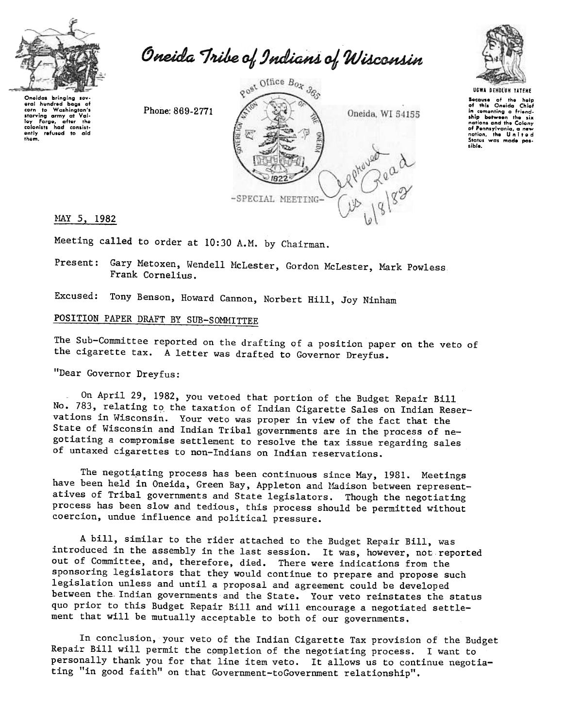

Oneida Tribe of Indians of Wisconsin

Onoidas bringing sov oral hundrod bags of corn to Washington's starving army at Val-<br>loy Forgo, after the<br>colonists had consist-<br>ontly refused to aid !hom.

Phone: 869-2771





UGWA BEHOLUH YATEHE Because of the help<br>of this Oneida Chiat in cementing a friend<br>ship between the six nations and the Colony of Pennlylvanio, a new nation, the U n I t e d Status was made pos-.ibJ,.

MAY 5, 1982

Meeting called to order at 10:30 A.M. by Chairman.

Present: Gary Metoxen, Wendell McLester, Gordon McLester, Mark Powless, Frank Cornelius.

Excused: Tony Benson, Howard Cannon, Norbert Hill, Joy Ninham

## POSITION PAPER DRAFT BY SUB-SOMMITTEE

The Sub-Committee reported on the drafting of a position paper on the veto of the cigarette tax. A letter was drafted to Governor Dreyfus.

"Dear Governor Dreyfus:

On April 29, 1982, you vetoed that portion of the Budget Repair Bill No. 783, relating to the taxation of Indian Cigarette Sales on Indian Reservations in Wisconsin. Your veto was proper in view of the fact that the State of Wisconsin and Indian Tribal governments are in the process of negotiating a compromise settlement to resolve the tax issue regarding sales of untaxed cigarettes to non-Indians on Indian reservations.

The negotiating process has been continuous since May, 1981. Meetings have been held in Oneida, Green Bay, Appleton and Madison between representatives of Tribal governments and State legislators. Though the negotiating process has been slow and tedious, this process should be permitted without coercion, undue influence and political pressure.

A bill, similar to the rider attached to the Budget Repair Bill, was introduced in the assembly in the last session. It was, however, not reported out of Committee, and, therefore, died. There were indications from the sponsoring legislators that they would continue to prepare and propose such legislation unless and until a proposal and agreement could be developed between the, Indian governments and the State. Your veto reinstates the status quo prior to this Budget Repair Bill and will encourage a negotiated settlement that will be mutually acceptable to both of our governments.

In conclusion, your veto of the Indian Cigarette Tax provision of the Budget Repair Bill will permit the completion of the negotiating process. I want to personally thank you for that line item veto. It allows us to continue negotiating "in good faith" on that Government-toGovernment relationship".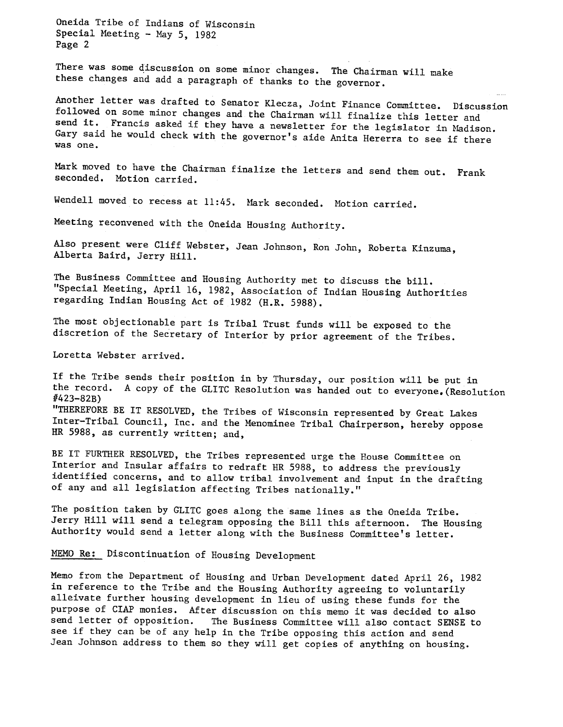Oneida Tribe of Indians of Wisconsin Special Meeting - May 5, 1982 Page 2

There was some discussion on some minor changes. The Chairman will make these changes and add a paragraph of thanks to the governor.

Another letter was drafted to Senator Klecza, Joint Finance Committee. Discussion followed on Some minor changes and the Chairman will finalize this letter and send it. Francis asked if they have a newsletter for the legislator in Madison. Gary said he would check with the governor's aide Anita Hererra to see if there was one.

Mark moved to have the Chairman finalize the letters and send them out. Frank seconded. Motion carried.

Wendell moved to recess at 11:45. Mark seconded. Motion carried.

Meeting reconvened with the Oneida Housing Authority.

Also present were Cliff Webster, Jean Johnson, Ron John, Roberta Kinzuma, Alberta Baird, Jerry Hill.

The Business Committee and Housing Authority met to discuss the bill. "Special Meeting, April 16, 1982, Association of Indian Housing Authorities regarding Indian Housing Act of 1982 (H.R. 5988).

The most objectionable part is Tribal Trust funds will be exposed to the discretion of the Secretary of Interior by prior agreement of the Tribes.

Loretta Webster arrived.

If the Tribe sends their position in by Thursday, our position will be put in the record. A copy of the GLITC Resolution was handed out to everyone.(Resolution 1/423-82B) "THEREFORE BE IT RESOLVED, the Tribes of Wisconsin represented by Great Lakes Inter-Tribal Council, Inc. and the Menominee Tribal Chairperson, hereby oppose HR 5988, as currently written; and,

BE IT FURTHER RESOLVED, the Tribes represented urge the Rouse Committee on Interior and Insular affairs to redraft HR 5988, to address the previously identified concerns, and to allow tribal involvement and input in the drafting of any and all legislation affecting Tribes nationally."

The position taken by GLITC goes along the same lines as the Oneida Tribe. Jerry Hill will send a telegram opposing the Bill this afternoon. The Housing Authority would send a letter along with the Business Committee's letter.

MEMO Re: Discontinuation of Housing Development

Memo from the Department of Housing and Urban Development dated April 26, 1982 in reference to the Tribe and the Housing Authority agreeing to voluntarily alleivate further housing development in lieu of using these funds for the purpose of ClAP monies. After discussion on this memo it was decided to also send letter of opposition. The Business Committee will also contact SENSE to see if they can be of any help in the Tribe opposing this action and send Jean Johnson address to them so they will get copies of anything on housing.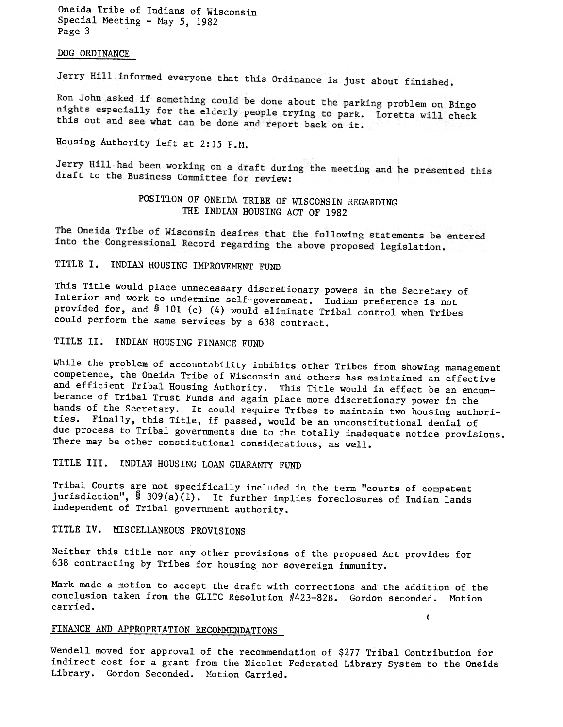Oneida Tribe of Indians of Wisconsin Special Meeting - May  $5, 1982$ Page 3

## DOG ORDINANCE

Jerry Hill informed everyone that this Ordinance is just about finished.

Ron John asked if something could be done about the parking problem on Bingo nights especially for the elderly people trying to park. Loretta will check<br>this out and see what can be done and the trying to park. Loretta will check this out and see what can be done and report back on it.

Housing Authority left at 2:15 P.M.

Jerry Hill had been working on a draft during the meeting and he presented this draft to the Business Committee for review:

> POSITION OF ONEIDA TRIBE OF WISCONSIN REGARDING THE INDIAN HOUSING ACT OF 1982

The Oneida Tribe of Wisconsin desires that the following statements be entered into the Congressional Record regarding the above proposed legislation.

TITLE I. INDIAN HOUSING IMPROVEMENT FUND

This Title would place unnecessary discretionary powers in the Secretary of Interior and work to undermine self-government. Indian preference is not provided for, and § 101 (c) (4) would eliminate Tribal control when Tribes could perform the same services by a 638 contract.

TITLE II. INDIAN HOUSING FINANCE FUND

While the problem of accountability inhibits other Tribes from showing management competence, the Oneida Tribe of Wisconsin and others has maintained an effective and efficient Tribal Housing Authority. This Title would in effect be an encumberance of Tribal Trust Funds and again place more discretionary power in the hands of the Secretary. It could require Tribes to maintain two housing authorities. Finally, this Title, if passed, would be an unconstitutional denial of due process to Tribal governments due to the totally inadequate notice provisions. There may be other constitutional considerations, as well.

TITLE III. INDIAN HOUSING LOAN GUARANTY FUND

Tribal Courts are not specifically included in the term "courts of competent jurisdiction",  $\frac{8}{309(a)(1)}$ . It further implies foreclosures of Indian lands independent of Tribal government authority.

TITLE IV. MISCELLANEOUS PROVISIONS

Neither this title nor any other provisions of the proposed Act provides for 638 contracting by Tribes for housing nor sovereign immunity.

Mark made a motion to accept the draft with corrections and the addition of the conclusion taken from the GLITC Resolution #423-82B. Gordon seconded. Motion carried.  $\epsilon$ 

## FINANCE AND APPROPRIATION RECOMMENDATIONS

Wendell moved for approval of the recommendation of \$277 Tribal Contribution for indirect cost for a grant from the Nicolet Federated Library System to the Oneida Library. Gordon Seconded. Motion Carried.